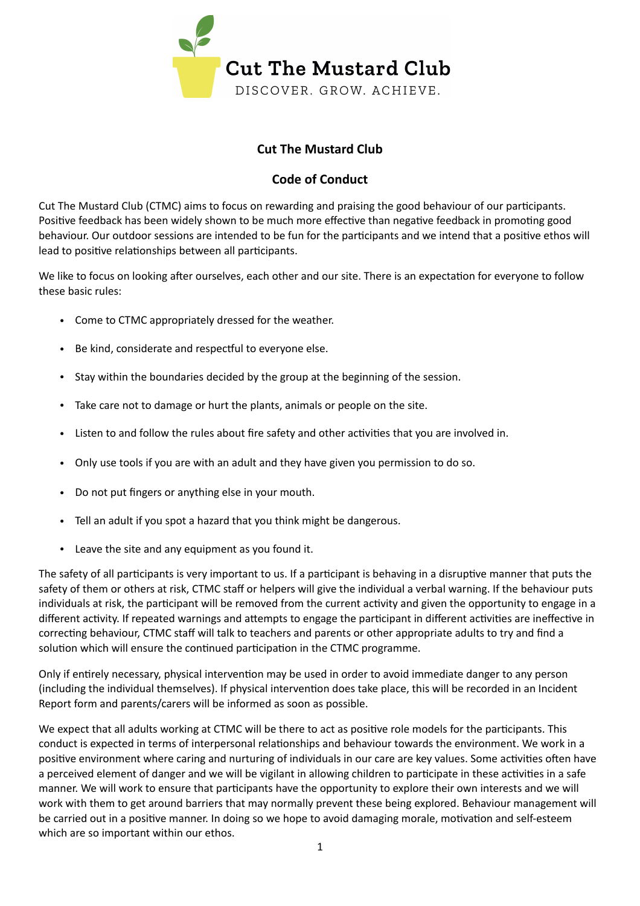

## **Cut The Mustard Club**

## **Code of Conduct**

Cut The Mustard Club (CTMC) aims to focus on rewarding and praising the good behaviour of our participants. Positive feedback has been widely shown to be much more effective than negative feedback in promoting good behaviour. Our outdoor sessions are intended to be fun for the participants and we intend that a positive ethos will lead to positive relationships between all participants.

We like to focus on looking after ourselves, each other and our site. There is an expectation for everyone to follow these basic rules:

- Come to CTMC appropriately dressed for the weather.
- Be kind, considerate and respectful to everyone else.
- Stay within the boundaries decided by the group at the beginning of the session.
- Take care not to damage or hurt the plants, animals or people on the site.
- Listen to and follow the rules about fire safety and other activities that you are involved in.
- Only use tools if you are with an adult and they have given you permission to do so.
- Do not put fingers or anything else in your mouth.
- Tell an adult if you spot a hazard that you think might be dangerous.
- Leave the site and any equipment as you found it.

The safety of all participants is very important to us. If a participant is behaving in a disruptive manner that puts the safety of them or others at risk, CTMC staff or helpers will give the individual a verbal warning. If the behaviour puts individuals at risk, the participant will be removed from the current activity and given the opportunity to engage in a different activity. If repeated warnings and attempts to engage the participant in different activities are ineffective in correcting behaviour, CTMC staff will talk to teachers and parents or other appropriate adults to try and find a solution which will ensure the continued participation in the CTMC programme.

Only if entirely necessary, physical intervention may be used in order to avoid immediate danger to any person (including the individual themselves). If physical intervention does take place, this will be recorded in an Incident Report form and parents/carers will be informed as soon as possible.

We expect that all adults working at CTMC will be there to act as positive role models for the participants. This conduct is expected in terms of interpersonal relationships and behaviour towards the environment. We work in a positive environment where caring and nurturing of individuals in our care are key values. Some activities often have a perceived element of danger and we will be vigilant in allowing children to participate in these activities in a safe manner. We will work to ensure that participants have the opportunity to explore their own interests and we will work with them to get around barriers that may normally prevent these being explored. Behaviour management will be carried out in a positive manner. In doing so we hope to avoid damaging morale, motivation and self-esteem which are so important within our ethos.